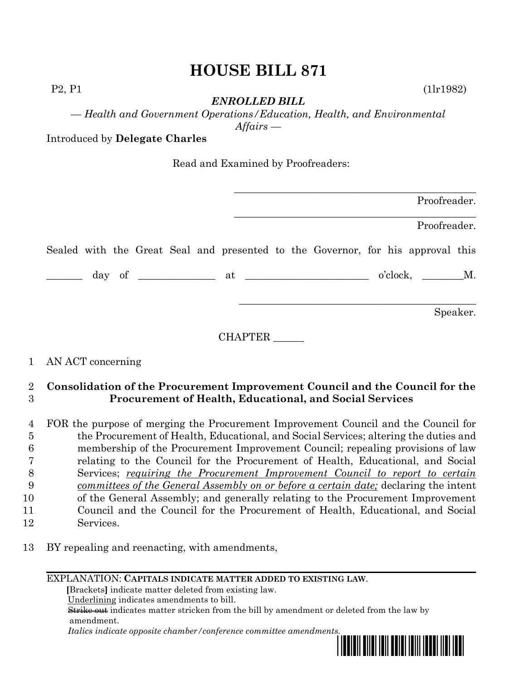# **HOUSE BILL 871**

*ENROLLED BILL*

P2, P1 (1lr1982)

*— Health and Government Operations/Education, Health, and Environmental Affairs —*

Introduced by **Delegate Charles**

Read and Examined by Proofreaders:

|  |  |  |  |  |                                                                                                                                               |  | Proofreader. |          |
|--|--|--|--|--|-----------------------------------------------------------------------------------------------------------------------------------------------|--|--------------|----------|
|  |  |  |  |  |                                                                                                                                               |  | Proofreader. |          |
|  |  |  |  |  | Sealed with the Great Seal and presented to the Governor, for his approval this                                                               |  |              |          |
|  |  |  |  |  | $\frac{1}{\text{day of}}$ of $\frac{1}{\text{day}}$ at $\frac{1}{\text{day}}$ o'clock, $\frac{1}{\text{day}}$ o'clock, $\frac{1}{\text{day}}$ |  |              |          |
|  |  |  |  |  |                                                                                                                                               |  |              | Speaker. |

CHAPTER \_\_\_\_\_\_

## 1 AN ACT concerning

### 2 **Consolidation of the Procurement Improvement Council and the Council for the**  3 **Procurement of Health, Educational, and Social Services**

 FOR the purpose of merging the Procurement Improvement Council and the Council for the Procurement of Health, Educational, and Social Services; altering the duties and membership of the Procurement Improvement Council; repealing provisions of law relating to the Council for the Procurement of Health, Educational, and Social Services; *requiring the Procurement Improvement Council to report to certain committees of the General Assembly on or before a certain date;* declaring the intent of the General Assembly; and generally relating to the Procurement Improvement Council and the Council for the Procurement of Health, Educational, and Social Services.

13 BY repealing and reenacting, with amendments,

EXPLANATION: **CAPITALS INDICATE MATTER ADDED TO EXISTING LAW**.

 **[**Brackets**]** indicate matter deleted from existing law.

Underlining indicates amendments to bill.

 Strike out indicates matter stricken from the bill by amendment or deleted from the law by amendment.

 *Italics indicate opposite chamber/conference committee amendments.*

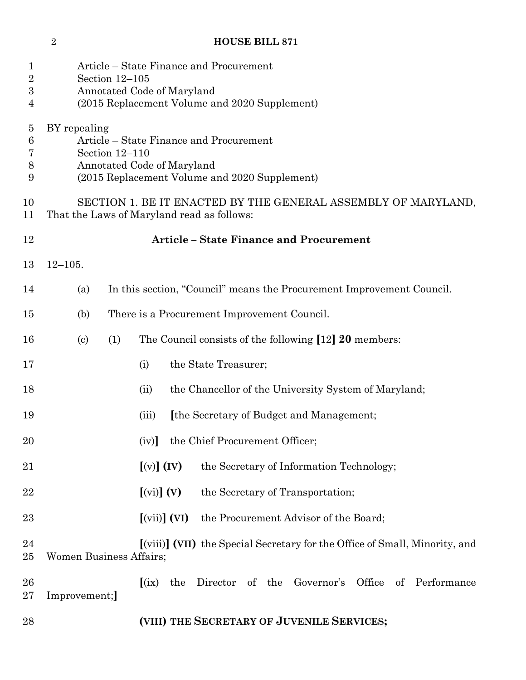### **HOUSE BILL 871**

| 1<br>$\overline{2}$<br>3<br>4                     | Article – State Finance and Procurement<br>Section $12-105$<br>Annotated Code of Maryland<br>(2015 Replacement Volume and 2020 Supplement)               |                                                                                        |  |  |  |  |  |  |  |  |
|---------------------------------------------------|----------------------------------------------------------------------------------------------------------------------------------------------------------|----------------------------------------------------------------------------------------|--|--|--|--|--|--|--|--|
| $\overline{5}$<br>$\boldsymbol{6}$<br>7<br>8<br>9 | BY repealing<br>Article – State Finance and Procurement<br>Section 12-110<br>Annotated Code of Maryland<br>(2015 Replacement Volume and 2020 Supplement) |                                                                                        |  |  |  |  |  |  |  |  |
| 10<br>11                                          | SECTION 1. BE IT ENACTED BY THE GENERAL ASSEMBLY OF MARYLAND,<br>That the Laws of Maryland read as follows:                                              |                                                                                        |  |  |  |  |  |  |  |  |
| 12                                                |                                                                                                                                                          | <b>Article - State Finance and Procurement</b>                                         |  |  |  |  |  |  |  |  |
| 13                                                | $12 - 105.$                                                                                                                                              |                                                                                        |  |  |  |  |  |  |  |  |
| 14                                                | (a)                                                                                                                                                      | In this section, "Council" means the Procurement Improvement Council.                  |  |  |  |  |  |  |  |  |
| 15                                                | (b)                                                                                                                                                      | There is a Procurement Improvement Council.                                            |  |  |  |  |  |  |  |  |
| 16                                                | (1)<br>$\left( \mathrm{c}\right)$                                                                                                                        | The Council consists of the following [12] 20 members:                                 |  |  |  |  |  |  |  |  |
| 17                                                |                                                                                                                                                          | the State Treasurer;<br>(i)                                                            |  |  |  |  |  |  |  |  |
| 18                                                |                                                                                                                                                          | the Chancellor of the University System of Maryland;<br>(ii)                           |  |  |  |  |  |  |  |  |
| 19                                                |                                                                                                                                                          | [the Secretary of Budget and Management;<br>(iii)                                      |  |  |  |  |  |  |  |  |
| <b>20</b>                                         |                                                                                                                                                          | the Chief Procurement Officer;<br>(iv)                                                 |  |  |  |  |  |  |  |  |
| 21                                                |                                                                                                                                                          | $[(v)]$ $(IV)$<br>the Secretary of Information Technology;                             |  |  |  |  |  |  |  |  |
| 22                                                |                                                                                                                                                          | $\left[\text{(vi)}\right]$ $\left(\text{V}\right)$<br>the Secretary of Transportation; |  |  |  |  |  |  |  |  |
| 23                                                |                                                                                                                                                          | $\left[\text{(vii)}\right]$ (VI)<br>the Procurement Advisor of the Board;              |  |  |  |  |  |  |  |  |
| 24<br>25                                          | <b>Women Business Affairs;</b>                                                                                                                           | [(viii)] (VII) the Special Secretary for the Office of Small, Minority, and            |  |  |  |  |  |  |  |  |
| 26<br>27                                          | Improvement;                                                                                                                                             | Director of the Governor's Office of Performance<br>(ix)<br>the                        |  |  |  |  |  |  |  |  |
| 28                                                |                                                                                                                                                          | (VIII) THE SECRETARY OF JUVENILE SERVICES;                                             |  |  |  |  |  |  |  |  |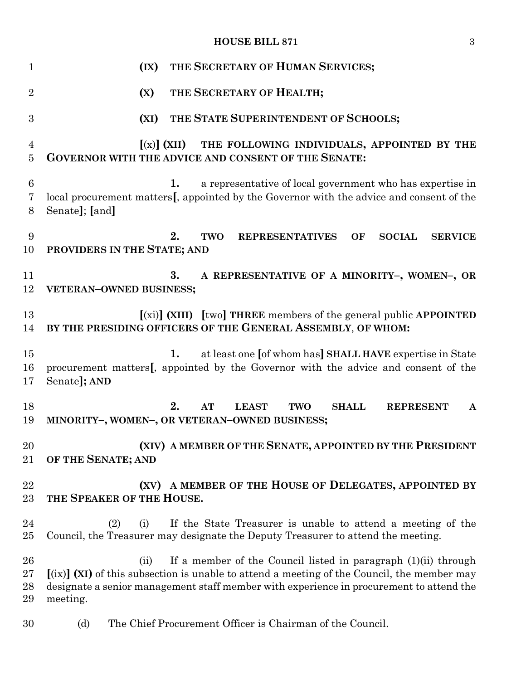#### **HOUSE BILL 871** 3

| $\mathbf{1}$             | THE SECRETARY OF HUMAN SERVICES;<br>(IX)                                                                                                                                                                                                                                                         |
|--------------------------|--------------------------------------------------------------------------------------------------------------------------------------------------------------------------------------------------------------------------------------------------------------------------------------------------|
| $\overline{2}$           | THE SECRETARY OF HEALTH;<br>(X)                                                                                                                                                                                                                                                                  |
| 3                        | THE STATE SUPERINTENDENT OF SCHOOLS;<br>(XI)                                                                                                                                                                                                                                                     |
| $\overline{4}$<br>5      | THE FOLLOWING INDIVIDUALS, APPOINTED BY THE<br>$[(x)]$ (XII)<br><b>GOVERNOR WITH THE ADVICE AND CONSENT OF THE SENATE:</b>                                                                                                                                                                       |
| 6<br>7<br>8              | 1.<br>a representative of local government who has expertise in<br>local procurement matters[, appointed by the Governor with the advice and consent of the<br>Senate]; [and]                                                                                                                    |
| 9<br>10                  | 2.<br><b>REPRESENTATIVES</b><br><b>SOCIAL</b><br><b>TWO</b><br><b>SERVICE</b><br>OF<br>PROVIDERS IN THE STATE; AND                                                                                                                                                                               |
| 11<br>12                 | 3.<br>A REPRESENTATIVE OF A MINORITY-, WOMEN-, OR<br>VETERAN-OWNED BUSINESS;                                                                                                                                                                                                                     |
| 13<br>14                 | $(x_i)$ (XIII) [two] THREE members of the general public APPOINTED<br>BY THE PRESIDING OFFICERS OF THE GENERAL ASSEMBLY, OF WHOM:                                                                                                                                                                |
| 15<br>16<br>17           | at least one [of whom has] SHALL HAVE expertise in State<br>1.<br>procurement matters[, appointed by the Governor with the advice and consent of the<br>Senate]; AND                                                                                                                             |
| 18<br>19                 | 2.<br>AT<br><b>LEAST</b><br><b>TWO</b><br><b>SHALL</b><br><b>REPRESENT</b><br>$\mathbf{A}$<br>MINORITY-, WOMEN-, OR VETERAN-OWNED BUSINESS;                                                                                                                                                      |
| 20<br>21                 | (XIV) A MEMBER OF THE SENATE, APPOINTED BY THE PRESIDENT<br>OF THE SENATE; AND                                                                                                                                                                                                                   |
| 22<br>23                 | (XV) A MEMBER OF THE HOUSE OF DELEGATES, APPOINTED BY<br>THE SPEAKER OF THE HOUSE.                                                                                                                                                                                                               |
| 24<br>25                 | If the State Treasurer is unable to attend a meeting of the<br>(2)<br>(i)<br>Council, the Treasurer may designate the Deputy Treasurer to attend the meeting.                                                                                                                                    |
| 26<br>$27\,$<br>28<br>29 | If a member of the Council listed in paragraph (1)(ii) through<br>(ii)<br>$\left[\text{(ix)}\right]$ (XI) of this subsection is unable to attend a meeting of the Council, the member may<br>designate a senior management staff member with experience in procurement to attend the<br>meeting. |
| 30                       | The Chief Procurement Officer is Chairman of the Council.<br>(d)                                                                                                                                                                                                                                 |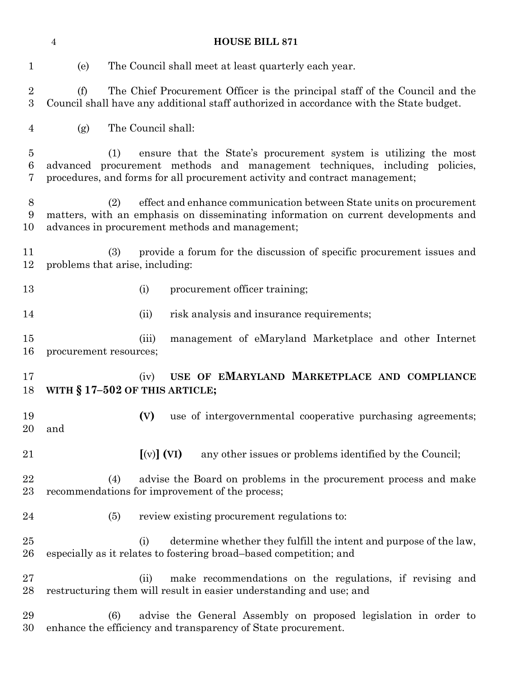(e) The Council shall meet at least quarterly each year. (f) The Chief Procurement Officer is the principal staff of the Council and the Council shall have any additional staff authorized in accordance with the State budget. (g) The Council shall: (1) ensure that the State's procurement system is utilizing the most advanced procurement methods and management techniques, including policies, procedures, and forms for all procurement activity and contract management; (2) effect and enhance communication between State units on procurement matters, with an emphasis on disseminating information on current developments and advances in procurement methods and management; (3) provide a forum for the discussion of specific procurement issues and problems that arise, including: 13 (i) procurement officer training; 14 (ii) risk analysis and insurance requirements; (iii) management of eMaryland Marketplace and other Internet procurement resources; (iv) **USE OF EMARYLAND MARKETPLACE AND COMPLIANCE WITH § 17–502 OF THIS ARTICLE; (V)** use of intergovernmental cooperative purchasing agreements; and **[**(v)**] (VI)** any other issues or problems identified by the Council; (4) advise the Board on problems in the procurement process and make recommendations for improvement of the process; (5) review existing procurement regulations to: 25 (i) determine whether they fulfill the intent and purpose of the law, especially as it relates to fostering broad–based competition; and (ii) make recommendations on the regulations, if revising and restructuring them will result in easier understanding and use; and (6) advise the General Assembly on proposed legislation in order to

enhance the efficiency and transparency of State procurement.

**HOUSE BILL 871**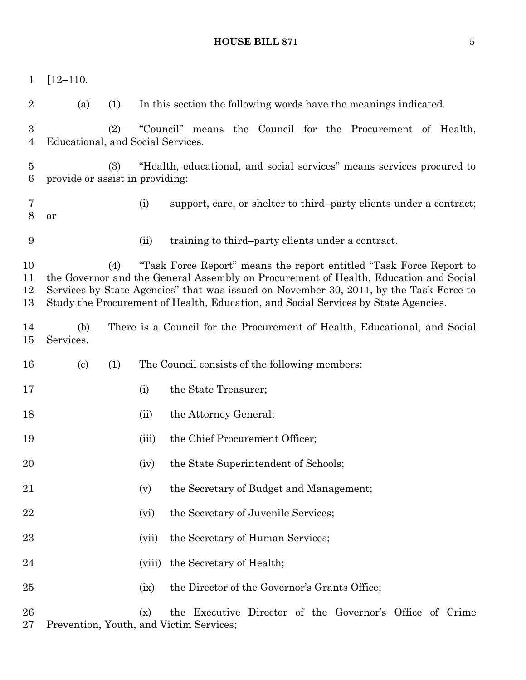# **HOUSE BILL 871** 5

| 1                                 | $[12 - 110.$                      |     |        |                                                                                                                                                                                                                                                                                                                                             |
|-----------------------------------|-----------------------------------|-----|--------|---------------------------------------------------------------------------------------------------------------------------------------------------------------------------------------------------------------------------------------------------------------------------------------------------------------------------------------------|
| $\overline{2}$                    | (a)                               | (1) |        | In this section the following words have the meanings indicated.                                                                                                                                                                                                                                                                            |
| $\boldsymbol{3}$<br>4             | Educational, and Social Services. | (2) |        | "Council" means the Council for the Procurement of Health,                                                                                                                                                                                                                                                                                  |
| $\overline{5}$<br>$6\phantom{.}6$ | provide or assist in providing:   | (3) |        | "Health, educational, and social services" means services procured to                                                                                                                                                                                                                                                                       |
| 7<br>8                            | or                                |     | (i)    | support, care, or shelter to third-party clients under a contract;                                                                                                                                                                                                                                                                          |
| 9                                 |                                   |     | (ii)   | training to third-party clients under a contract.                                                                                                                                                                                                                                                                                           |
| 10<br>11<br>12<br>13              |                                   | (4) |        | "Task Force Report" means the report entitled "Task Force Report to<br>the Governor and the General Assembly on Procurement of Health, Education and Social<br>Services by State Agencies" that was issued on November 30, 2011, by the Task Force to<br>Study the Procurement of Health, Education, and Social Services by State Agencies. |
| 14<br>15                          | (b)<br>Services.                  |     |        | There is a Council for the Procurement of Health, Educational, and Social                                                                                                                                                                                                                                                                   |
| 16                                | $\left( \mathrm{c}\right)$        | (1) |        | The Council consists of the following members:                                                                                                                                                                                                                                                                                              |
| 17                                |                                   |     | (i)    | the State Treasurer;                                                                                                                                                                                                                                                                                                                        |
| 18                                |                                   |     | (ii)   | the Attorney General;                                                                                                                                                                                                                                                                                                                       |
| 19                                |                                   |     | (iii)  | the Chief Procurement Officer;                                                                                                                                                                                                                                                                                                              |
| 20                                |                                   |     | (iv)   | the State Superintendent of Schools;                                                                                                                                                                                                                                                                                                        |
| 21                                |                                   |     | (v)    | the Secretary of Budget and Management;                                                                                                                                                                                                                                                                                                     |
| 22                                |                                   |     | (vi)   | the Secretary of Juvenile Services;                                                                                                                                                                                                                                                                                                         |
| 23                                |                                   |     | (vii)  | the Secretary of Human Services;                                                                                                                                                                                                                                                                                                            |
| 24                                |                                   |     | (viii) | the Secretary of Health;                                                                                                                                                                                                                                                                                                                    |
| 25                                |                                   |     | (ix)   | the Director of the Governor's Grants Office;                                                                                                                                                                                                                                                                                               |
| 26                                |                                   |     | (x)    | the Executive Director of the Governor's Office of Crime                                                                                                                                                                                                                                                                                    |

Prevention, Youth, and Victim Services;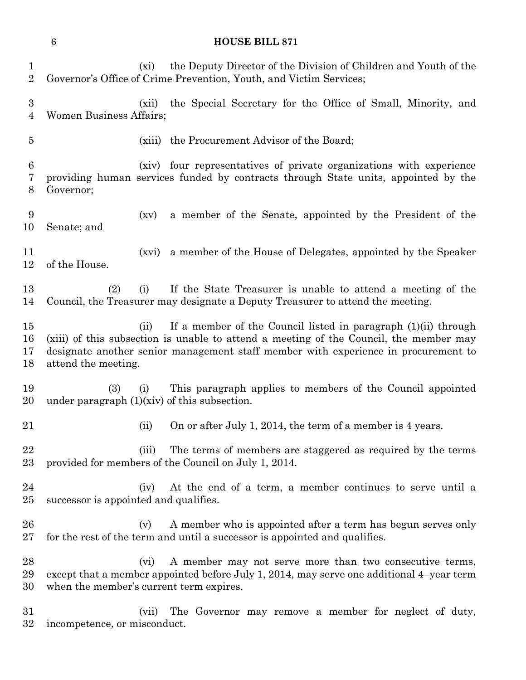|                            | $\boldsymbol{6}$                                      |         | <b>HOUSE BILL 871</b>                                                                                                                                                                                                                          |
|----------------------------|-------------------------------------------------------|---------|------------------------------------------------------------------------------------------------------------------------------------------------------------------------------------------------------------------------------------------------|
| 1<br>$\sqrt{2}$            |                                                       | (xi)    | the Deputy Director of the Division of Children and Youth of the<br>Governor's Office of Crime Prevention, Youth, and Victim Services;                                                                                                         |
| $\boldsymbol{3}$<br>4      | <b>Women Business Affairs;</b>                        | (xii)   | the Special Secretary for the Office of Small, Minority, and                                                                                                                                                                                   |
| $\overline{5}$             |                                                       |         | (xiii) the Procurement Advisor of the Board;                                                                                                                                                                                                   |
| $\boldsymbol{6}$<br>7<br>8 | Governor;                                             |         | (xiv) four representatives of private organizations with experience<br>providing human services funded by contracts through State units, appointed by the                                                                                      |
| 9<br>10                    | Senate; and                                           | (xv)    | a member of the Senate, appointed by the President of the                                                                                                                                                                                      |
| 11<br>12                   | of the House.                                         | (xvi)   | a member of the House of Delegates, appointed by the Speaker                                                                                                                                                                                   |
| 13<br>14                   | (2)                                                   | (i)     | If the State Treasurer is unable to attend a meeting of the<br>Council, the Treasurer may designate a Deputy Treasurer to attend the meeting.                                                                                                  |
| 15<br>16<br>17<br>18       | attend the meeting.                                   | (ii)    | If a member of the Council listed in paragraph (1)(ii) through<br>(xiii) of this subsection is unable to attend a meeting of the Council, the member may<br>designate another senior management staff member with experience in procurement to |
| 19<br>20                   | (3)<br>under paragraph $(1)(xiv)$ of this subsection. | (i)     | This paragraph applies to members of the Council appointed                                                                                                                                                                                     |
| 21                         |                                                       | (ii)    | On or after July 1, 2014, the term of a member is 4 years.                                                                                                                                                                                     |
| 22<br>23                   |                                                       | (iii)   | The terms of members are staggered as required by the terms<br>provided for members of the Council on July 1, 2014.                                                                                                                            |
| 24<br>25                   | successor is appointed and qualifies.                 | (iv)    | At the end of a term, a member continues to serve until a                                                                                                                                                                                      |
| 26<br>27                   |                                                       | (v)     | A member who is appointed after a term has begun serves only<br>for the rest of the term and until a successor is appointed and qualifies.                                                                                                     |
| 28<br>29<br>30             | when the member's current term expires.               | $(v_i)$ | A member may not serve more than two consecutive terms,<br>except that a member appointed before July 1, 2014, may serve one additional 4-year term                                                                                            |

 (vii) The Governor may remove a member for neglect of duty, incompetence, or misconduct.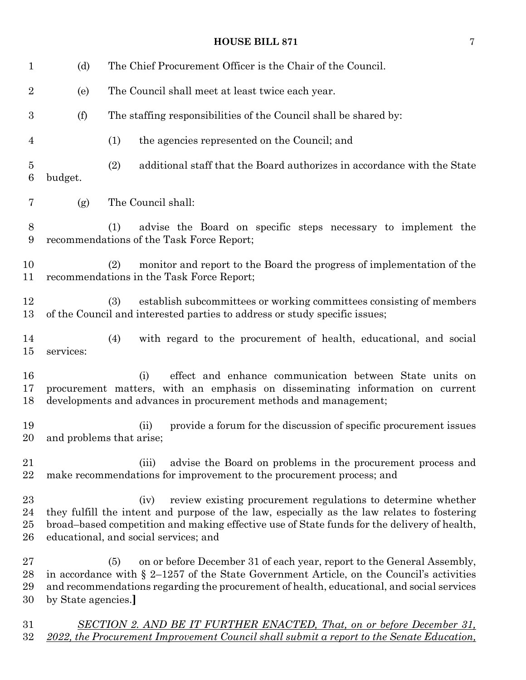#### **HOUSE BILL 871** 7

| $\mathbf 1$                       | (d)                | The Chief Procurement Officer is the Chair of the Council.                                                                                                                                                                                                                                                 |
|-----------------------------------|--------------------|------------------------------------------------------------------------------------------------------------------------------------------------------------------------------------------------------------------------------------------------------------------------------------------------------------|
| $\overline{2}$                    | (e)                | The Council shall meet at least twice each year.                                                                                                                                                                                                                                                           |
| $\boldsymbol{3}$                  | (f)                | The staffing responsibilities of the Council shall be shared by:                                                                                                                                                                                                                                           |
| $\overline{4}$                    |                    | (1)<br>the agencies represented on the Council; and                                                                                                                                                                                                                                                        |
| $\overline{5}$<br>$6\phantom{.}6$ | budget.            | (2)<br>additional staff that the Board authorizes in accordance with the State                                                                                                                                                                                                                             |
| 7                                 | (g)                | The Council shall:                                                                                                                                                                                                                                                                                         |
| 8<br>9                            |                    | advise the Board on specific steps necessary to implement the<br>(1)<br>recommendations of the Task Force Report;                                                                                                                                                                                          |
| 10<br>11                          |                    | monitor and report to the Board the progress of implementation of the<br>(2)<br>recommendations in the Task Force Report;                                                                                                                                                                                  |
| 12<br>13                          |                    | establish subcommittees or working committees consisting of members<br>(3)<br>of the Council and interested parties to address or study specific issues;                                                                                                                                                   |
| 14<br>$15\,$                      | services:          | (4)<br>with regard to the procurement of health, educational, and social                                                                                                                                                                                                                                   |
| 16<br>17<br>18                    |                    | effect and enhance communication between State units on<br>(i)<br>procurement matters, with an emphasis on disseminating information on current<br>developments and advances in procurement methods and management;                                                                                        |
| 19<br>20                          |                    | provide a forum for the discussion of specific procurement issues<br>(ii)<br>and problems that arise;                                                                                                                                                                                                      |
| 21<br>22                          |                    | advise the Board on problems in the procurement process and<br>(iii)<br>make recommendations for improvement to the procurement process; and                                                                                                                                                               |
| 23<br>24<br>$25\,$<br>26          |                    | review existing procurement regulations to determine whether<br>(iv)<br>they fulfill the intent and purpose of the law, especially as the law relates to fostering<br>broad-based competition and making effective use of State funds for the delivery of health,<br>educational, and social services; and |
| $27\,$<br>28<br>29<br>30          | by State agencies. | on or before December 31 of each year, report to the General Assembly,<br>(5)<br>in accordance with $\S$ 2–1257 of the State Government Article, on the Council's activities<br>and recommendations regarding the procurement of health, educational, and social services                                  |
| $31\,$                            |                    | <b>SECTION 2. AND BE IT FURTHER ENACTED, That, on or before December 31,</b>                                                                                                                                                                                                                               |

*2022, the Procurement Improvement Council shall submit a report to the Senate Education,*